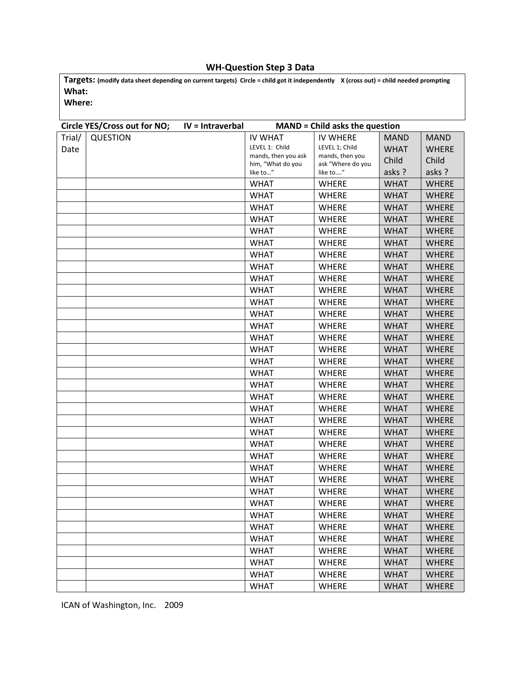## **WH-Question Step 3 Data**

**Targets: (modify data sheet depending on current targets) Circle = child got it independently X (cross out) = child needed prompting What:**

**Where:**

| Circle YES/Cross out for NO; |                 | IV = Intraverbal | <b>MAND = Child asks the question</b>    |                                      |             |              |
|------------------------------|-----------------|------------------|------------------------------------------|--------------------------------------|-------------|--------------|
| Trial/                       | <b>QUESTION</b> |                  | <b>IV WHAT</b>                           | <b>IV WHERE</b>                      | <b>MAND</b> | <b>MAND</b>  |
| Date                         |                 |                  | LEVEL 1: Child                           | LEVEL 1; Child                       | <b>WHAT</b> | <b>WHERE</b> |
|                              |                 |                  | mands, then you ask<br>him, "What do you | mands, then you<br>ask "Where do you | Child       | Child        |
|                              |                 |                  | like to"                                 | like to"                             | asks ?      | asks ?       |
|                              |                 |                  | <b>WHAT</b>                              | <b>WHERE</b>                         | <b>WHAT</b> | <b>WHERE</b> |
|                              |                 |                  | <b>WHAT</b>                              | <b>WHERE</b>                         | <b>WHAT</b> | <b>WHERE</b> |
|                              |                 |                  | <b>WHAT</b>                              | <b>WHERE</b>                         | <b>WHAT</b> | <b>WHERE</b> |
|                              |                 |                  | <b>WHAT</b>                              | <b>WHERE</b>                         | <b>WHAT</b> | <b>WHERE</b> |
|                              |                 |                  | <b>WHAT</b>                              | <b>WHERE</b>                         | <b>WHAT</b> | <b>WHERE</b> |
|                              |                 |                  | <b>WHAT</b>                              | <b>WHERE</b>                         | <b>WHAT</b> | <b>WHERE</b> |
|                              |                 |                  | <b>WHAT</b>                              | <b>WHERE</b>                         | <b>WHAT</b> | <b>WHERE</b> |
|                              |                 |                  | <b>WHAT</b>                              | <b>WHERE</b>                         | <b>WHAT</b> | <b>WHERE</b> |
|                              |                 |                  | <b>WHAT</b>                              | <b>WHERE</b>                         | <b>WHAT</b> | <b>WHERE</b> |
|                              |                 |                  | <b>WHAT</b>                              | <b>WHERE</b>                         | <b>WHAT</b> | <b>WHERE</b> |
|                              |                 |                  | <b>WHAT</b>                              | <b>WHERE</b>                         | <b>WHAT</b> | <b>WHERE</b> |
|                              |                 |                  | <b>WHAT</b>                              | <b>WHERE</b>                         | <b>WHAT</b> | <b>WHERE</b> |
|                              |                 |                  | <b>WHAT</b>                              | <b>WHERE</b>                         | <b>WHAT</b> | <b>WHERE</b> |
|                              |                 |                  | <b>WHAT</b>                              | <b>WHERE</b>                         | <b>WHAT</b> | <b>WHERE</b> |
|                              |                 |                  | <b>WHAT</b>                              | <b>WHERE</b>                         | <b>WHAT</b> | <b>WHERE</b> |
|                              |                 |                  | <b>WHAT</b>                              | <b>WHERE</b>                         | <b>WHAT</b> | <b>WHERE</b> |
|                              |                 |                  | <b>WHAT</b>                              | <b>WHERE</b>                         | <b>WHAT</b> | <b>WHERE</b> |
|                              |                 |                  | <b>WHAT</b>                              | <b>WHERE</b>                         | <b>WHAT</b> | <b>WHERE</b> |
|                              |                 |                  | <b>WHAT</b>                              | <b>WHERE</b>                         | <b>WHAT</b> | <b>WHERE</b> |
|                              |                 |                  | <b>WHAT</b>                              | <b>WHERE</b>                         | <b>WHAT</b> | <b>WHERE</b> |
|                              |                 |                  | <b>WHAT</b>                              | <b>WHERE</b>                         | <b>WHAT</b> | <b>WHERE</b> |
|                              |                 |                  | <b>WHAT</b>                              | <b>WHERE</b>                         | <b>WHAT</b> | <b>WHERE</b> |
|                              |                 |                  | <b>WHAT</b>                              | <b>WHERE</b>                         | <b>WHAT</b> | <b>WHERE</b> |
|                              |                 |                  | <b>WHAT</b>                              | <b>WHERE</b>                         | <b>WHAT</b> | <b>WHERE</b> |
|                              |                 |                  | <b>WHAT</b>                              | <b>WHERE</b>                         | <b>WHAT</b> | <b>WHERE</b> |
|                              |                 |                  | <b>WHAT</b>                              | <b>WHERE</b>                         | <b>WHAT</b> | <b>WHERE</b> |
|                              |                 |                  | <b>WHAT</b>                              | <b>WHERE</b>                         | <b>WHAT</b> | <b>WHERE</b> |
|                              |                 |                  | WHAT                                     | WHERE                                | <b>WHAT</b> | <b>WHERE</b> |
|                              |                 |                  | <b>WHAT</b>                              | <b>WHERE</b>                         | <b>WHAT</b> | <b>WHERE</b> |
|                              |                 |                  | <b>WHAT</b>                              | <b>WHERE</b>                         | <b>WHAT</b> | <b>WHERE</b> |
|                              |                 |                  | <b>WHAT</b>                              | <b>WHERE</b>                         | <b>WHAT</b> | <b>WHERE</b> |
|                              |                 |                  | <b>WHAT</b>                              | <b>WHERE</b>                         | <b>WHAT</b> | <b>WHERE</b> |
|                              |                 |                  | <b>WHAT</b>                              | <b>WHERE</b>                         | <b>WHAT</b> | <b>WHERE</b> |
|                              |                 |                  | <b>WHAT</b>                              | <b>WHERE</b>                         | <b>WHAT</b> | <b>WHERE</b> |
|                              |                 |                  | <b>WHAT</b>                              | <b>WHERE</b>                         | <b>WHAT</b> | <b>WHERE</b> |

ICAN of Washington, Inc. 2009